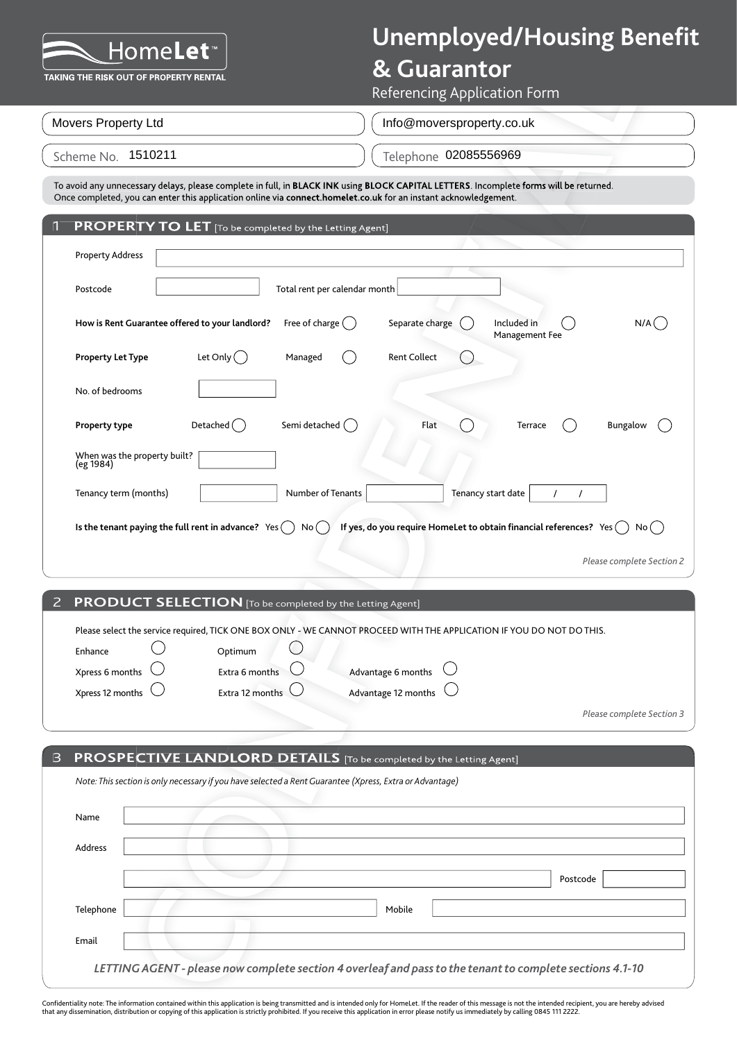### **& Guarantor**

Referencing Application Form

Scheme No. Telephone 1510211Movers Property Ltd Telephone 02085556969 Info@moversproperty.co.uk

**COLUMENTATION**<br>
CONFIDENTIAL REPORT CONTINUES<br>
CONFIDENTIAL REPORT CONFIDENTIAL REPORT CONTINUES<br>
CONFIDENTIAL REPORT CONFIDENTIAL REPORT CONFIDENTIAL REPORT CONFIDENTIAL<br>
CONFIDENTIAL REPORT CONFIDENTIAL REPORT CONFIDEN **PROPERTY TO LET** [To be completed by the Letting Agent] Property Address Postcode **Total rent per calendar month How is Rent Guarantee offered to your landlord?** Free of charge  $\bigcap$  Separate charge  $\bigcap$  Included in  $\bigcap$  N/A $\bigcap$ **Property Let Type** Let Only Managed and Rent Collect No. of bedrooms **Property type Detached** Semi detached **Flat** Flat **C** Terrace Bungalow When was the property built?<br>(eg 1984) Tenancy term (months)  $\vert$  Number of Tenants Tenancy start date  $\vert$  / / **Is the tenant paying the full rent in advance?** Yes  $\bigcirc$  No  $\bigcirc$  If yes, do you require HomeLet to obtain financial references? Yes  $\bigcirc$  No  $\bigcirc$ To avoid any unnecessary delay places complete in full, in BACK INK using BLOC CAPTALL LETTERS. Incomplete forms will be returned.<br>
To Concern the subjective of this species of the second by the Letting Agenci<br>
Property Ad Management Fee

| 2 PRODUCT SELECTION [To be completed by the Letting Agent] |
|------------------------------------------------------------|
|                                                            |

|                         |                            |                                | Please select the service required, TICK ONE BOX ONLY - WE CANNOT PROCEED WITH THE APPLICATION IF YOU DO NOT DO THIS. |                           |
|-------------------------|----------------------------|--------------------------------|-----------------------------------------------------------------------------------------------------------------------|---------------------------|
| Enhance                 | Optimum                    |                                |                                                                                                                       |                           |
| Xpress 6 months $\cup$  | Extra 6 months             | Advantage 6 months $\bigcirc$  |                                                                                                                       |                           |
| Xpress 12 months $\cup$ | Extra 12 months $\bigcirc$ | Advantage 12 months $\bigcirc$ |                                                                                                                       |                           |
|                         |                            |                                |                                                                                                                       | Please complete Section 3 |

| $\mathbf{B}$ | <b>PROSPECTIVE LANDLORD DETAILS</b> [To be completed by the Letting Agent]                                |  |
|--------------|-----------------------------------------------------------------------------------------------------------|--|
|              | Note: This section is only necessary if you have selected a Rent Guarantee (Xpress, Extra or Advantage)   |  |
|              | Name                                                                                                      |  |
|              | <b>Address</b>                                                                                            |  |
|              | Postcode                                                                                                  |  |
|              | Telephone<br>Mobile                                                                                       |  |
|              | Email                                                                                                     |  |
|              | LETTING AGENT - please now complete section 4 overleaf and pass to the tenant to complete sections 4.1-10 |  |

Confidentiality note: The information contained within this application is being transmitted and is intended only for HomeLet. If the reader of this message is not the intended recipient, you are hereby advised that any dissemination, distribution or copying of this application is strictly prohibited. If you receive this application in error please notify us immediately by calling 0845 111 2222.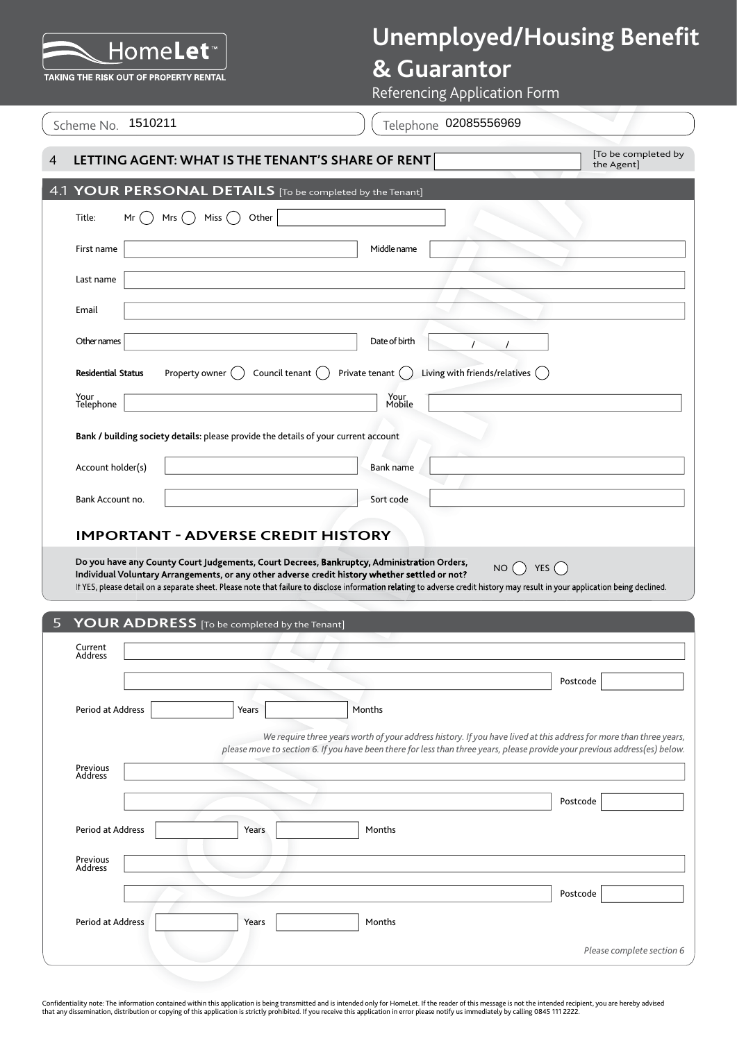### **& Guarantor**

|                           | TAKING THE RISK OUT OF PROPERTY RENTAL                                              | <b>&amp; Guarantor</b><br>Referencing Application Form                                                                                                                                                                                                                                                                                                                                                      |                                  |
|---------------------------|-------------------------------------------------------------------------------------|-------------------------------------------------------------------------------------------------------------------------------------------------------------------------------------------------------------------------------------------------------------------------------------------------------------------------------------------------------------------------------------------------------------|----------------------------------|
| Scheme No. 1510211        |                                                                                     | Telephone 02085556969                                                                                                                                                                                                                                                                                                                                                                                       |                                  |
|                           | LETTING AGENT: WHAT IS THE TENANT'S SHARE OF RENT                                   |                                                                                                                                                                                                                                                                                                                                                                                                             | To be completed by<br>the Agent] |
|                           | 4.1 YOUR PERSONAL DETAILS [To be completed by the Tenant]                           |                                                                                                                                                                                                                                                                                                                                                                                                             |                                  |
| Title:<br>Mr<br>Mrs       | Miss<br>Other                                                                       |                                                                                                                                                                                                                                                                                                                                                                                                             |                                  |
| First name                |                                                                                     | Middle name                                                                                                                                                                                                                                                                                                                                                                                                 |                                  |
| Last name                 |                                                                                     |                                                                                                                                                                                                                                                                                                                                                                                                             |                                  |
| Email                     |                                                                                     |                                                                                                                                                                                                                                                                                                                                                                                                             |                                  |
| Other names               |                                                                                     | Date of birth                                                                                                                                                                                                                                                                                                                                                                                               |                                  |
| <b>Residential Status</b> | Property owner<br>Council tenant ()                                                 | Living with friends/relatives<br>Private tenant                                                                                                                                                                                                                                                                                                                                                             |                                  |
| Your<br>Telephone         |                                                                                     | Your<br>Mobile                                                                                                                                                                                                                                                                                                                                                                                              |                                  |
|                           | Bank / building society details: please provide the details of your current account |                                                                                                                                                                                                                                                                                                                                                                                                             |                                  |
| Account holder(s)         |                                                                                     | Bank name                                                                                                                                                                                                                                                                                                                                                                                                   |                                  |
| Bank Account no.          |                                                                                     | Sort code                                                                                                                                                                                                                                                                                                                                                                                                   |                                  |
|                           |                                                                                     | <b>IMPORTANT - ADVERSE CREDIT HISTORY</b>                                                                                                                                                                                                                                                                                                                                                                   |                                  |
|                           |                                                                                     | Do you have any County Court Judgements, Court Decrees, Bankruptcy, Administration Orders,<br>NO $\bigcap$ YES $\bigcap$<br>Individual Voluntary Arrangements, or any other adverse credit history whether settled or not?<br>If YES, please detail on a separate sheet. Please note that failure to disclose information relating to adverse credit history may result in your application being declined. |                                  |
|                           | YOUR ADDRESS [To be completed by the Tenant]                                        |                                                                                                                                                                                                                                                                                                                                                                                                             |                                  |
| Current<br>Address        |                                                                                     |                                                                                                                                                                                                                                                                                                                                                                                                             |                                  |
|                           |                                                                                     |                                                                                                                                                                                                                                                                                                                                                                                                             | Postcode                         |
| Period at Address         | Years                                                                               | Months                                                                                                                                                                                                                                                                                                                                                                                                      |                                  |
|                           |                                                                                     | We require three years worth of your address history. If you have lived at this address for more than three years,<br>please move to section 6. If you have been there for less than three years, please provide your previous address(es) below.                                                                                                                                                           |                                  |
| Previous<br>Address       |                                                                                     |                                                                                                                                                                                                                                                                                                                                                                                                             |                                  |
|                           |                                                                                     |                                                                                                                                                                                                                                                                                                                                                                                                             | Postcode                         |
| Period at Address         | Years                                                                               | Months                                                                                                                                                                                                                                                                                                                                                                                                      |                                  |
| Previous<br>Address       |                                                                                     |                                                                                                                                                                                                                                                                                                                                                                                                             |                                  |
|                           |                                                                                     |                                                                                                                                                                                                                                                                                                                                                                                                             | Postcode                         |
| Period at Address         | Years                                                                               | Months                                                                                                                                                                                                                                                                                                                                                                                                      | Please complete section 6        |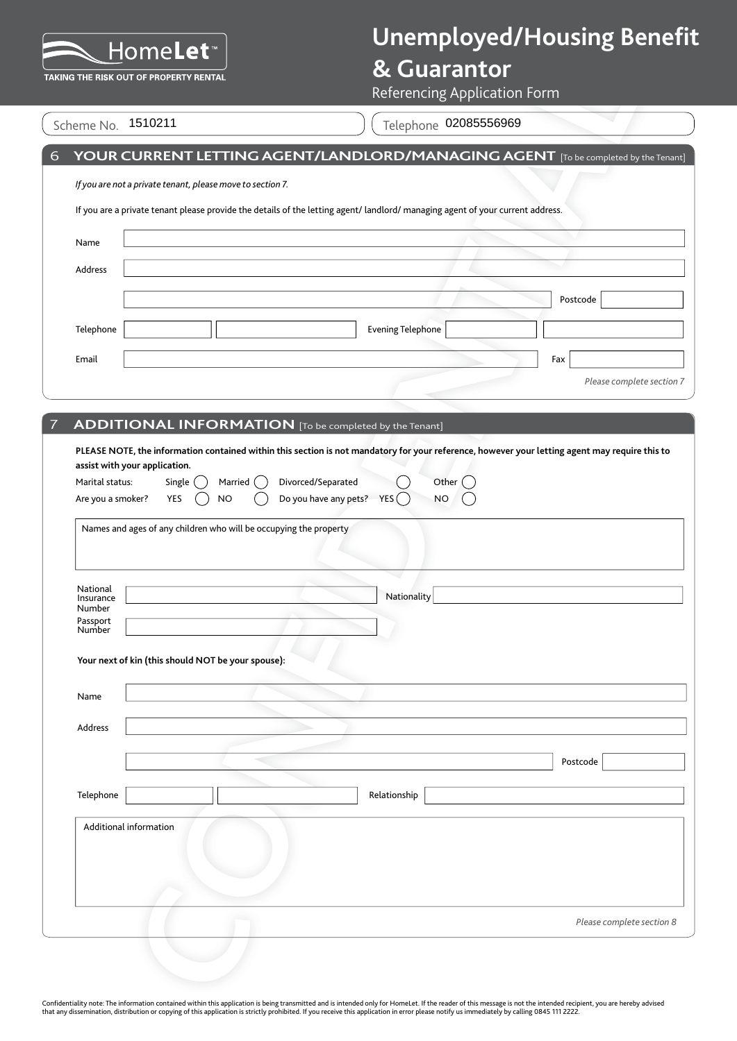## **& Guarantor**

| Scheme No | 1510211 |
|-----------|---------|
|           |         |

|                                      |                                                                                                              | Referencing Application Form                                                                                                   |
|--------------------------------------|--------------------------------------------------------------------------------------------------------------|--------------------------------------------------------------------------------------------------------------------------------|
|                                      | Scheme No. 1510211                                                                                           | Telephone 02085556969                                                                                                          |
|                                      |                                                                                                              | YOUR CURRENT LETTING AGENT/LANDLORD/MANAGING AGENT [To be completed by the Tenant]                                             |
|                                      | If you are not a private tenant, please move to section 7.                                                   |                                                                                                                                |
|                                      |                                                                                                              | If you are a private tenant please provide the details of the letting agent/ landlord/ managing agent of your current address. |
| Name                                 |                                                                                                              |                                                                                                                                |
| Address                              |                                                                                                              |                                                                                                                                |
|                                      |                                                                                                              | Postcode                                                                                                                       |
| Telephone                            |                                                                                                              | <b>Evening Telephone</b>                                                                                                       |
| Email                                |                                                                                                              | Fax                                                                                                                            |
|                                      |                                                                                                              | Please complete section 7                                                                                                      |
|                                      |                                                                                                              |                                                                                                                                |
|                                      | <b>ADDITIONAL INFORMATION</b> [To be completed by the Tenant]                                                |                                                                                                                                |
| Marital status:<br>Are you a smoker? | Married (<br>Single<br>YES<br><b>NO</b><br>Names and ages of any children who will be occupying the property | Divorced/Separated<br>Other (<br>Do you have any pets? $YES( )$<br><b>NO</b>                                                   |
| National<br>Insurance                |                                                                                                              | Nationality                                                                                                                    |
| Number<br>Passport<br>Number         |                                                                                                              |                                                                                                                                |
|                                      | Your next of kin (this should NOT be your spouse):                                                           |                                                                                                                                |
| Name                                 |                                                                                                              |                                                                                                                                |
| Address                              |                                                                                                              |                                                                                                                                |
|                                      |                                                                                                              | Postcode                                                                                                                       |
| Telephone                            |                                                                                                              | Relationship                                                                                                                   |
|                                      | Additional information                                                                                       |                                                                                                                                |
|                                      |                                                                                                              | Please complete section 8                                                                                                      |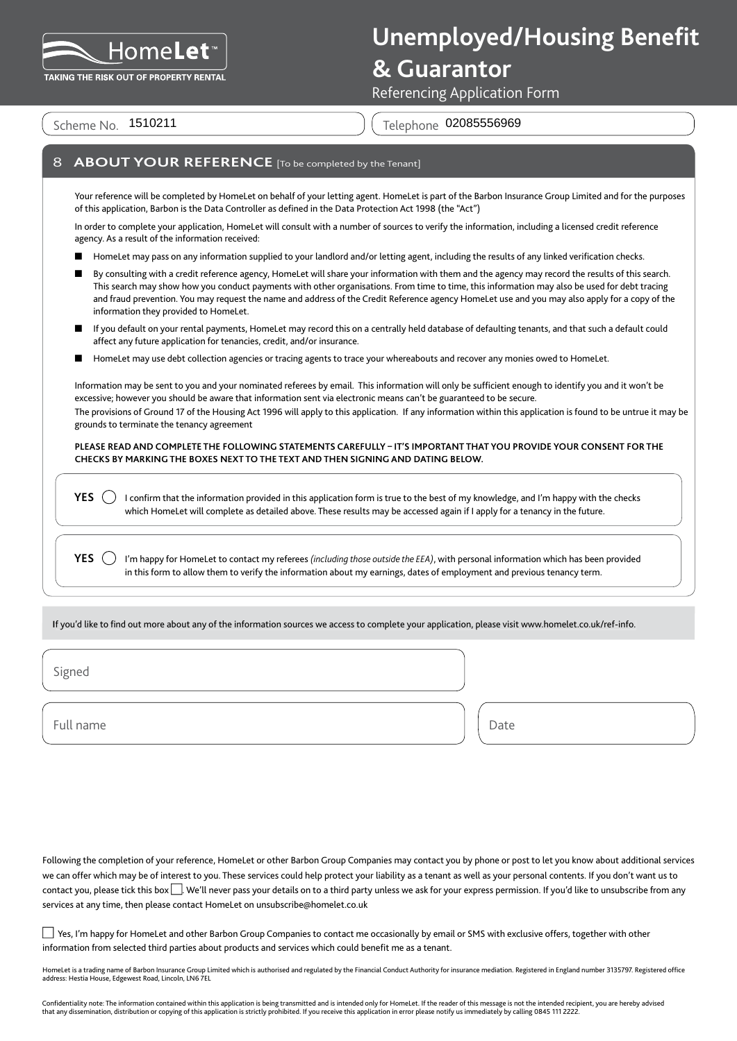

### **& Guarantor**

Referencing Application Form

Scheme No. 1510211

Telephone 02085556969

#### **ABOUT YOUR REFERENCE** [To be completed by the Tenant]

Your reference will be completed by HomeLet on behalf of your letting agent. HomeLet is part of the Barbon Insurance Group Limited and for the purposes of this application, Barbon is the Data Controller as defined in the Data Protection Act 1998 (the "Act")

In order to complete your application, HomeLet will consult with a number of sources to verify the information, including a licensed credit reference agency. As a result of the information received:

- HomeLet may pass on any information supplied to your landlord and/or letting agent, including the results of any linked verification checks.
- By consulting with a credit reference agency, HomeLet will share your information with them and the agency may record the results of this search. This search may show how you conduct payments with other organisations. From time to time, this information may also be used for debt tracing and fraud prevention. You may request the name and address of the Credit Reference agency HomeLet use and you may also apply for a copy of the information they provided to HomeLet.
- If you default on your rental payments, HomeLet may record this on a centrally held database of defaulting tenants, and that such a default could affect any future application for tenancies, credit, and/or insurance.
- HomeLet may use debt collection agencies or tracing agents to trace your whereabouts and recover any monies owed to HomeLet.

Information may be sent to you and your nominated referees by email. This information will only be sufficient enough to identify you and it won't be excessive; however you should be aware that information sent via electronic means can't be guaranteed to be secure. The provisions of Ground 17 of the Housing Act 1996 will apply to this application. If any information within this application is found to be untrue it may be grounds to terminate the tenancy agreement

**PLEASE READ AND COMPLETE THE FOLLOWING STATEMENTS CAREFULLY – IT'S IMPORTANT THAT YOU PROVIDE YOUR CONSENT FOR THE CHECKS BY MARKING THE BOXES NEXT TO THE TEXT AND THEN SIGNING AND DATING BELOW.**

**YES**  $\bigcirc$  I confirm that the information provided in this application form is true to the best of my knowledge, and I'm happy with the checks which HomeLet will complete as detailed above. These results may be accessed again if I apply for a tenancy in the future.

**YES**  $\Box$  I'm happy for HomeLet to contact my referees *(including those outside the EEA)*, with personal information which has been provided in this form to allow them to verify the information about my earnings, dates of employment and previous tenancy term.

If you'd like to find out more about any of the information sources we access to complete your application, please visit www.homelet.co.uk/ref-info.

Signed

Full name and the property of the property of the property of the Date of the Date

Following the completion of your reference, HomeLet or other Barbon Group Companies may contact you by phone or post to let you know about additional services we can offer which may be of interest to you. These services could help protect your liability as a tenant as well as your personal contents. If you don't want us to contact you, please tick this box  $\Box$ . We'll never pass your details on to a third party unless we ask for your express permission. If you'd like to unsubscribe from any services at any time, then please contact HomeLet on unsubscribe@homelet.co.uk

 Yes, I'm happy for HomeLet and other Barbon Group Companies to contact me occasionally by email or SMS with exclusive offers, together with other information from selected third parties about products and services which could benefit me as a tenant.

HomeLet is a trading name of Barbon Insurance Group Limited which is authorised and regulated by the Financial Conduct Authority for insurance mediation. Registered in England number 3135797. Registered office<br>address: Hes

Confidentiality note: The information contained within this application is being transmitted and is intended only for HomeLet. If the reader of this message is not the intended recipient, you are hereby advised that any dissemination, distribution or copying of this application is strictly prohibited. If you receive this application in error please notify us immediately by calling 0845 111 2222.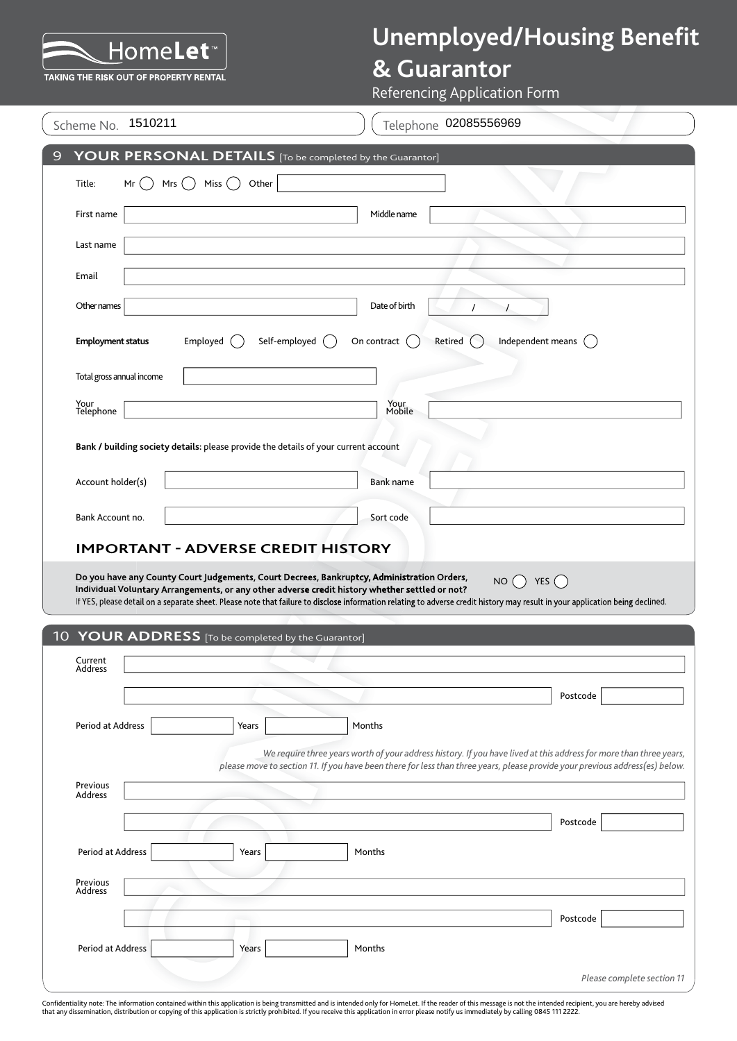## **& Guarantor**

| . <del>.</del><br>--<br>TAKING THE RISK OUT OF PROPERTY RENTAL                                                                                                                               | <b>&amp; Guarantor</b><br><b>Referencing Application Form</b>                                                                                                                                                                                      |
|----------------------------------------------------------------------------------------------------------------------------------------------------------------------------------------------|----------------------------------------------------------------------------------------------------------------------------------------------------------------------------------------------------------------------------------------------------|
| 1510211<br>Scheme No.                                                                                                                                                                        | Telephone 02085556969                                                                                                                                                                                                                              |
| YOUR PERSONAL DETAILS [To be completed by the Guarantor]<br>9                                                                                                                                |                                                                                                                                                                                                                                                    |
| Miss $($<br>Title:<br>Other<br>Mrs $($ )<br>Mr                                                                                                                                               |                                                                                                                                                                                                                                                    |
| First name                                                                                                                                                                                   | Middle name                                                                                                                                                                                                                                        |
| Last name                                                                                                                                                                                    |                                                                                                                                                                                                                                                    |
| Email                                                                                                                                                                                        |                                                                                                                                                                                                                                                    |
| Other names                                                                                                                                                                                  | Date of birth                                                                                                                                                                                                                                      |
| Self-employed<br><b>Employment status</b><br>Employed                                                                                                                                        | Independent means $($<br>On contract<br>Retired                                                                                                                                                                                                    |
| Total gross annual income                                                                                                                                                                    |                                                                                                                                                                                                                                                    |
| Your<br>Telephone                                                                                                                                                                            | Your<br>Mobile                                                                                                                                                                                                                                     |
| Bank / building society details: please provide the details of your current account                                                                                                          |                                                                                                                                                                                                                                                    |
|                                                                                                                                                                                              |                                                                                                                                                                                                                                                    |
| Account holder(s)                                                                                                                                                                            | <b>Bank name</b>                                                                                                                                                                                                                                   |
| Bank Account no.                                                                                                                                                                             | Sort code                                                                                                                                                                                                                                          |
| <b>IMPORTANT - ADVERSE CREDIT HISTORY</b>                                                                                                                                                    |                                                                                                                                                                                                                                                    |
| Do you have any County Court Judgements, Court Decrees, Bankruptcy, Administration Orders,<br>Individual Voluntary Arrangements, or any other adverse credit history whether settled or not? | NO() YES()<br>If YES, please detail on a separate sheet. Please note that failure to disclose information relating to adverse credit history may result in your application being declined.                                                        |
| 10 YOUR ADDRESS [To be completed by the Guarantor]                                                                                                                                           |                                                                                                                                                                                                                                                    |
| Current<br>Address                                                                                                                                                                           |                                                                                                                                                                                                                                                    |
|                                                                                                                                                                                              | Postcode                                                                                                                                                                                                                                           |
| Period at Address<br>Years                                                                                                                                                                   | Months                                                                                                                                                                                                                                             |
|                                                                                                                                                                                              | We require three years worth of your address history. If you have lived at this address for more than three years,<br>please move to section 11. If you have been there for less than three years, please provide your previous address(es) below. |
| Previous<br><b>Address</b>                                                                                                                                                                   |                                                                                                                                                                                                                                                    |
|                                                                                                                                                                                              | Postcode                                                                                                                                                                                                                                           |
| Period at Address<br>Years                                                                                                                                                                   | Months                                                                                                                                                                                                                                             |
| Previous<br><b>Address</b>                                                                                                                                                                   |                                                                                                                                                                                                                                                    |
|                                                                                                                                                                                              | Postcode                                                                                                                                                                                                                                           |
| Period at Address<br>Years                                                                                                                                                                   | Months                                                                                                                                                                                                                                             |
|                                                                                                                                                                                              | Please complete section 11                                                                                                                                                                                                                         |

Confidentiality note: The information contained within this application is being transmitted and is intended only for HomeLet. If the reader of this message is not the intended recipient, you are hereby advised<br>that any di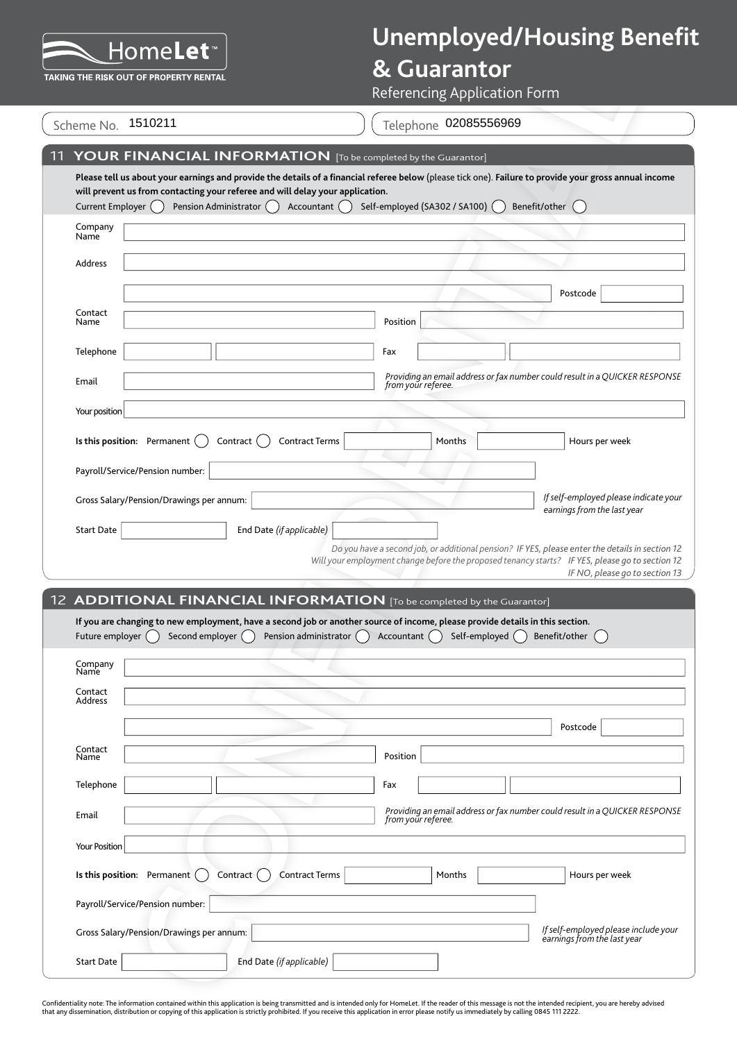## **& Guarantor**

|                  | Please tell us about your earnings and provide the details of a financial referee below (please tick one). Failure            |                                 |
|------------------|-------------------------------------------------------------------------------------------------------------------------------|---------------------------------|
| Current Employer | will prevent us from contacting your referee and will delay your application.<br>Accountant $( )$<br>Pension Administrator () | Self-employed (SA302 / SA100) ( |
| Company<br>Name  |                                                                                                                               |                                 |
| Address          |                                                                                                                               |                                 |
|                  |                                                                                                                               |                                 |

|                            |                                                                                                                                                                                                                                         |                          |                                 | <b>Referencing Application Form</b> |                                                                                                                                                                                                    |               |                                                                     |                                |
|----------------------------|-----------------------------------------------------------------------------------------------------------------------------------------------------------------------------------------------------------------------------------------|--------------------------|---------------------------------|-------------------------------------|----------------------------------------------------------------------------------------------------------------------------------------------------------------------------------------------------|---------------|---------------------------------------------------------------------|--------------------------------|
| Scheme No.                 | 1510211                                                                                                                                                                                                                                 |                          |                                 |                                     | Telephone 02085556969                                                                                                                                                                              |               |                                                                     |                                |
|                            | YOUR FINANCIAL INFORMATION [To be completed by the Guarantor]                                                                                                                                                                           |                          |                                 |                                     |                                                                                                                                                                                                    |               |                                                                     |                                |
| Current Employer ()        | Please tell us about your earnings and provide the details of a financial referee below (please tick one). Failure to provide your gross annual income<br>will prevent us from contacting your referee and will delay your application. | Pension Administrator () | Accountant ()                   |                                     | Self-employed (SA302 / SA100) (                                                                                                                                                                    | Benefit/other |                                                                     |                                |
| Company<br>Name            |                                                                                                                                                                                                                                         |                          |                                 |                                     |                                                                                                                                                                                                    |               |                                                                     |                                |
| Address                    |                                                                                                                                                                                                                                         |                          |                                 |                                     |                                                                                                                                                                                                    |               |                                                                     |                                |
|                            |                                                                                                                                                                                                                                         |                          |                                 |                                     |                                                                                                                                                                                                    |               | Postcode                                                            |                                |
| Contact<br>Name            |                                                                                                                                                                                                                                         |                          |                                 | Position                            |                                                                                                                                                                                                    |               |                                                                     |                                |
| Telephone                  |                                                                                                                                                                                                                                         |                          |                                 | Fax                                 |                                                                                                                                                                                                    |               |                                                                     |                                |
| Email                      |                                                                                                                                                                                                                                         |                          |                                 | from your referee.                  | Providing an email address or fax number could result in a QUICKER RESPONSE                                                                                                                        |               |                                                                     |                                |
| Your position              |                                                                                                                                                                                                                                         |                          |                                 |                                     |                                                                                                                                                                                                    |               |                                                                     |                                |
|                            | Is this position: Permanent                                                                                                                                                                                                             | Contract                 | <b>Contract Terms</b>           |                                     | Months                                                                                                                                                                                             |               | Hours per week                                                      |                                |
|                            | Payroll/Service/Pension number:                                                                                                                                                                                                         |                          |                                 |                                     |                                                                                                                                                                                                    |               |                                                                     |                                |
|                            | Gross Salary/Pension/Drawings per annum:                                                                                                                                                                                                |                          |                                 |                                     |                                                                                                                                                                                                    |               | If self-employed please indicate your                               |                                |
|                            |                                                                                                                                                                                                                                         |                          |                                 |                                     |                                                                                                                                                                                                    |               |                                                                     |                                |
| <b>Start Date</b>          |                                                                                                                                                                                                                                         |                          | End Date (if applicable)        |                                     |                                                                                                                                                                                                    |               | earnings from the last year                                         |                                |
|                            |                                                                                                                                                                                                                                         |                          |                                 |                                     | Do you have a second job, or additional pension? IF YES, please enter the details in section 12<br>Will your employment change before the proposed tenancy starts? IF YES, please go to section 12 |               |                                                                     |                                |
|                            | 12 ADDITIONAL FINANCIAL INFORMATION [To be completed by the Guarantor]                                                                                                                                                                  |                          |                                 |                                     |                                                                                                                                                                                                    |               |                                                                     |                                |
| Future employer (          | If you are changing to new employment, have a second job or another source of income, please provide details in this section.<br>Second employer $\bigcap$                                                                              |                          | Pension administrator $\bigcap$ | Accountant ()                       | Self-employed $\bigcap$                                                                                                                                                                            |               | Benefit/other                                                       |                                |
|                            |                                                                                                                                                                                                                                         |                          |                                 |                                     |                                                                                                                                                                                                    |               |                                                                     |                                |
| Company<br>Name<br>Contact |                                                                                                                                                                                                                                         |                          |                                 |                                     |                                                                                                                                                                                                    |               |                                                                     |                                |
| Address                    |                                                                                                                                                                                                                                         |                          |                                 |                                     |                                                                                                                                                                                                    |               |                                                                     |                                |
| Contact                    |                                                                                                                                                                                                                                         |                          |                                 | Position                            |                                                                                                                                                                                                    |               | Postcode                                                            |                                |
| Name                       |                                                                                                                                                                                                                                         |                          |                                 | Fax                                 |                                                                                                                                                                                                    |               |                                                                     |                                |
| Telephone<br>Email         |                                                                                                                                                                                                                                         |                          |                                 |                                     | Providing an email address or fax number could result in a QUICKER RESPONSE                                                                                                                        |               |                                                                     |                                |
|                            |                                                                                                                                                                                                                                         |                          |                                 | from your referee.                  |                                                                                                                                                                                                    |               |                                                                     | IF NO, please go to section 13 |
| <b>Your Position</b>       |                                                                                                                                                                                                                                         | Contract (               | <b>Contract Terms</b>           |                                     | Months                                                                                                                                                                                             |               | Hours per week                                                      |                                |
|                            | Is this position: Permanent<br>Payroll/Service/Pension number:                                                                                                                                                                          |                          |                                 |                                     |                                                                                                                                                                                                    |               |                                                                     |                                |
|                            | Gross Salary/Pension/Drawings per annum:                                                                                                                                                                                                |                          |                                 |                                     |                                                                                                                                                                                                    |               | If self-employed please include your<br>earnings from the last year |                                |

Confidentiality note: The information contained within this application is being transmitted and is intended only for HomeLet. If the reader of this message is not the intended recipient, you are hereby advised<br>that any di